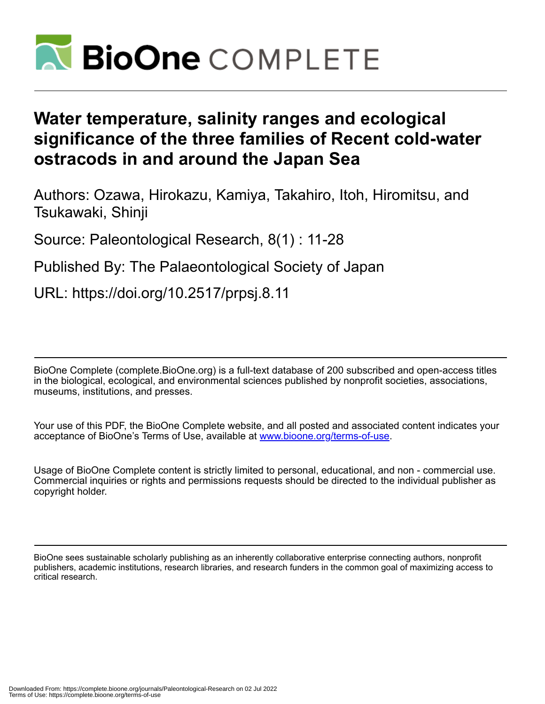

# **Water temperature, salinity ranges and ecological significance of the three families of Recent cold-water ostracods in and around the Japan Sea**

Authors: Ozawa, Hirokazu, Kamiya, Takahiro, Itoh, Hiromitsu, and Tsukawaki, Shinji

Source: Paleontological Research, 8(1) : 11-28

Published By: The Palaeontological Society of Japan

URL: https://doi.org/10.2517/prpsj.8.11

BioOne Complete (complete.BioOne.org) is a full-text database of 200 subscribed and open-access titles in the biological, ecological, and environmental sciences published by nonprofit societies, associations, museums, institutions, and presses.

Your use of this PDF, the BioOne Complete website, and all posted and associated content indicates your acceptance of BioOne's Terms of Use, available at www.bioone.org/terms-of-use.

Usage of BioOne Complete content is strictly limited to personal, educational, and non - commercial use. Commercial inquiries or rights and permissions requests should be directed to the individual publisher as copyright holder.

BioOne sees sustainable scholarly publishing as an inherently collaborative enterprise connecting authors, nonprofit publishers, academic institutions, research libraries, and research funders in the common goal of maximizing access to critical research.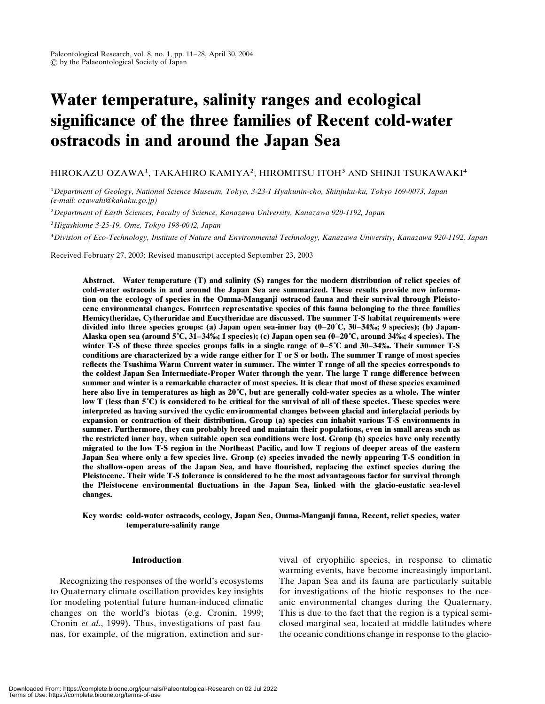# Water temperature, salinity ranges and ecological significance of the three families of Recent cold-water ostracods in and around the Japan Sea

## HIROKAZU OZAWA1, TAKAHIRO KAMIYA2, HIROMITSU ITOH3 AND SHINJI TSUKAWAKI4

1Department of Geology, National Science Museum, Tokyo, 3-23-1 Hyakunin-cho, Shinjuku-ku, Tokyo 169-0073, Japan (e-mail: ozawahi@kahaku.go.jp)

2Department of Earth Sciences, Faculty of Science, Kanazawa University, Kanazawa 920-1192, Japan

3Higashiome 3-25-19, Ome, Tokyo 198-0042, Japan

4Division of Eco-Technology, Institute of Nature and Environmental Technology, Kanazawa University, Kanazawa 920-1192, Japan

Received February 27, 2003; Revised manuscript accepted September 23, 2003

Abstract. Water temperature (T) and salinity (S) ranges for the modern distribution of relict species of cold-water ostracods in and around the Japan Sea are summarized. These results provide new information on the ecology of species in the Omma-Manganji ostracod fauna and their survival through Pleistocene environmental changes. Fourteen representative species of this fauna belonging to the three families Hemicytheridae, Cytheruridae and Eucytheridae are discussed. The summer T-S habitat requirements were divided into three species groups: (a) Japan open sea-inner bay  $(0-20\degree C, 30-34\degree\%)$ ; 9 species); (b) Japan-Alaska open sea (around  $5^{\circ}C$ , 31–34‰; 1 species); (c) Japan open sea (0–20 $^{\circ}C$ , around 34‰; 4 species). The winter T-S of these three species groups falls in a single range of  $0-5^\circ$ C and  $30-34\%$ . Their summer T-S conditions are characterized by a wide range either for T or S or both. The summer T range of most species reflects the Tsushima Warm Current water in summer. The winter T range of all the species corresponds to the coldest Japan Sea Intermediate-Proper Water through the year. The large T range difference between summer and winter is a remarkable character of most species. It is clear that most of these species examined here also live in temperatures as high as 20˚C, but are generally cold-water species as a whole. The winter low T (less than 5˚C) is considered to be critical for the survival of all of these species. These species were interpreted as having survived the cyclic environmental changes between glacial and interglacial periods by expansion or contraction of their distribution. Group (a) species can inhabit various T-S environments in summer. Furthermore, they can probably breed and maintain their populations, even in small areas such as the restricted inner bay, when suitable open sea conditions were lost. Group (b) species have only recently migrated to the low T-S region in the Northeast Pacific, and low T regions of deeper areas of the eastern Japan Sea where only a few species live. Group (c) species invaded the newly appearing T-S condition in the shallow-open areas of the Japan Sea, and have flourished, replacing the extinct species during the Pleistocene. Their wide T-S tolerance is considered to be the most advantageous factor for survival through the Pleistocene environmental fluctuations in the Japan Sea, linked with the glacio-eustatic sea-level changes.

#### Key words: cold-water ostracods, ecology, Japan Sea, Omma-Manganji fauna, Recent, relict species, water temperature-salinity range

#### Introduction

Recognizing the responses of the world's ecosystems to Quaternary climate oscillation provides key insights for modeling potential future human-induced climatic changes on the world's biotas (e.g. Cronin, 1999; Cronin et al., 1999). Thus, investigations of past faunas, for example, of the migration, extinction and survival of cryophilic species, in response to climatic warming events, have become increasingly important. The Japan Sea and its fauna are particularly suitable for investigations of the biotic responses to the oceanic environmental changes during the Quaternary. This is due to the fact that the region is a typical semiclosed marginal sea, located at middle latitudes where the oceanic conditions change in response to the glacio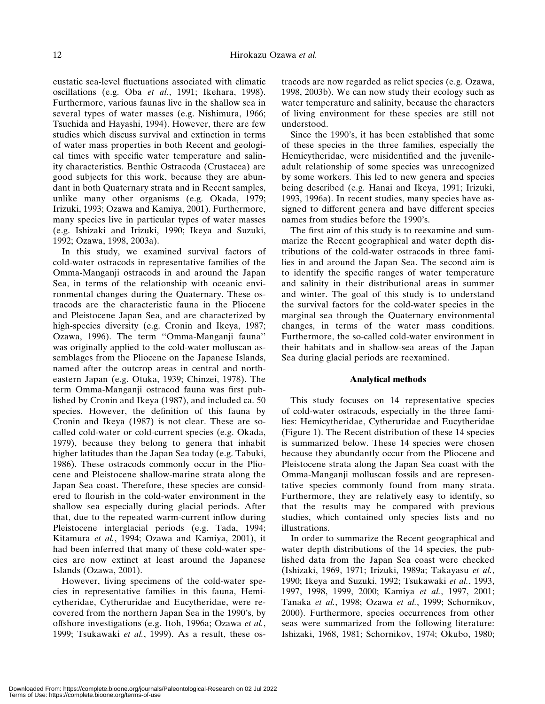eustatic sea-level fluctuations associated with climatic oscillations (e.g. Oba et al., 1991; Ikehara, 1998). Furthermore, various faunas live in the shallow sea in several types of water masses (e.g. Nishimura, 1966; Tsuchida and Hayashi, 1994). However, there are few studies which discuss survival and extinction in terms of water mass properties in both Recent and geological times with specific water temperature and salinity characteristics. Benthic Ostracoda (Crustacea) are good subjects for this work, because they are abundant in both Quaternary strata and in Recent samples, unlike many other organisms (e.g. Okada, 1979; Irizuki, 1993; Ozawa and Kamiya, 2001). Furthermore, many species live in particular types of water masses (e.g. Ishizaki and Irizuki, 1990; Ikeya and Suzuki, 1992; Ozawa, 1998, 2003a).

In this study, we examined survival factors of cold-water ostracods in representative families of the Omma-Manganji ostracods in and around the Japan Sea, in terms of the relationship with oceanic environmental changes during the Quaternary. These ostracods are the characteristic fauna in the Pliocene and Pleistocene Japan Sea, and are characterized by high-species diversity (e.g. Cronin and Ikeya, 1987; Ozawa, 1996). The term ''Omma-Manganji fauna'' was originally applied to the cold-water molluscan assemblages from the Pliocene on the Japanese Islands, named after the outcrop areas in central and northeastern Japan (e.g. Otuka, 1939; Chinzei, 1978). The term Omma-Manganji ostracod fauna was first published by Cronin and Ikeya (1987), and included ca. 50 species. However, the definition of this fauna by Cronin and Ikeya (1987) is not clear. These are socalled cold-water or cold-current species (e.g. Okada, 1979), because they belong to genera that inhabit higher latitudes than the Japan Sea today (e.g. Tabuki, 1986). These ostracods commonly occur in the Pliocene and Pleistocene shallow-marine strata along the Japan Sea coast. Therefore, these species are considered to flourish in the cold-water environment in the shallow sea especially during glacial periods. After that, due to the repeated warm-current inflow during Pleistocene interglacial periods (e.g. Tada, 1994; Kitamura et al., 1994; Ozawa and Kamiya, 2001), it had been inferred that many of these cold-water species are now extinct at least around the Japanese Islands (Ozawa, 2001).

However, living specimens of the cold-water species in representative families in this fauna, Hemicytheridae, Cytheruridae and Eucytheridae, were recovered from the northern Japan Sea in the 1990's, by offshore investigations (e.g. Itoh, 1996a; Ozawa et al., 1999; Tsukawaki et al., 1999). As a result, these ostracods are now regarded as relict species (e.g. Ozawa, 1998, 2003b). We can now study their ecology such as water temperature and salinity, because the characters of living environment for these species are still not understood.

Since the 1990's, it has been established that some of these species in the three families, especially the Hemicytheridae, were misidentified and the juvenileadult relationship of some species was unrecognized by some workers. This led to new genera and species being described (e.g. Hanai and Ikeya, 1991; Irizuki, 1993, 1996a). In recent studies, many species have assigned to different genera and have different species names from studies before the 1990's.

The first aim of this study is to reexamine and summarize the Recent geographical and water depth distributions of the cold-water ostracods in three families in and around the Japan Sea. The second aim is to identify the specific ranges of water temperature and salinity in their distributional areas in summer and winter. The goal of this study is to understand the survival factors for the cold-water species in the marginal sea through the Quaternary environmental changes, in terms of the water mass conditions. Furthermore, the so-called cold-water environment in their habitats and in shallow-sea areas of the Japan Sea during glacial periods are reexamined.

## Analytical methods

This study focuses on 14 representative species of cold-water ostracods, especially in the three families: Hemicytheridae, Cytheruridae and Eucytheridae (Figure 1). The Recent distribution of these 14 species is summarized below. These 14 species were chosen because they abundantly occur from the Pliocene and Pleistocene strata along the Japan Sea coast with the Omma-Manganji molluscan fossils and are representative species commonly found from many strata. Furthermore, they are relatively easy to identify, so that the results may be compared with previous studies, which contained only species lists and no illustrations.

In order to summarize the Recent geographical and water depth distributions of the 14 species, the published data from the Japan Sea coast were checked (Ishizaki, 1969, 1971; Irizuki, 1989a; Takayasu et al., 1990; Ikeya and Suzuki, 1992; Tsukawaki et al., 1993, 1997, 1998, 1999, 2000; Kamiya et al., 1997, 2001; Tanaka et al., 1998; Ozawa et al., 1999; Schornikov, 2000). Furthermore, species occurrences from other seas were summarized from the following literature: Ishizaki, 1968, 1981; Schornikov, 1974; Okubo, 1980;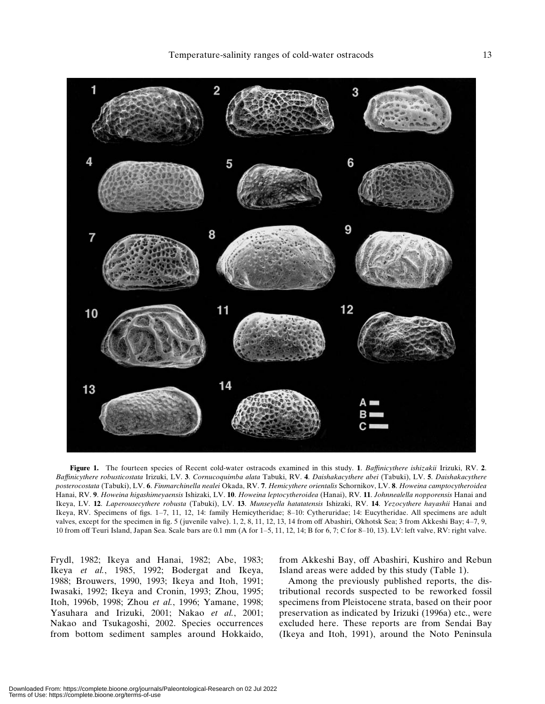

Figure 1. The fourteen species of Recent cold-water ostracods examined in this study. 1. Baffinicythere ishizakii Irizuki, RV. 2. Baffinicythere robusticostata Irizuki, LV. 3. Cornucoquimba alata Tabuki, RV. 4. Daishakacythere abei (Tabuki), LV. 5. Daishakacythere posterocostata (Tabuki), LV. 6. Finmarchinella nealei Okada, RV. 7. Hemicythere orientalis Schornikov, LV. 8. Howeina camptocytheroidea Hanai, RV. 9. Howeina higashimeyaensis Ishizaki, LV. 10. Howeina leptocytheroidea (Hanai), RV. 11. Johnnealella nopporensis Hanai and Ikeya, LV. 12. Laperousecythere robusta (Tabuki), LV. 13. Munseyella hatatatensis Ishizaki, RV. 14. Yezocythere hayashii Hanai and Ikeya, RV. Specimens of figs. 1–7, 11, 12, 14: family Hemicytheridae; 8–10: Cytheruridae; 14: Eucytheridae. All specimens are adult valves, except for the specimen in fig. 5 (juvenile valve). 1, 2, 8, 11, 12, 13, 14 from off Abashiri, Okhotsk Sea; 3 from Akkeshi Bay; 4–7, 9, 10 from off Teuri Island, Japan Sea. Scale bars are 0.1 mm (A for 1–5, 11, 12, 14; B for 6, 7; C for 8–10, 13). LV: left valve, RV: right valve.

Frydl, 1982; Ikeya and Hanai, 1982; Abe, 1983; Ikeya et al., 1985, 1992; Bodergat and Ikeya, 1988; Brouwers, 1990, 1993; Ikeya and Itoh, 1991; Iwasaki, 1992; Ikeya and Cronin, 1993; Zhou, 1995; Itoh, 1996b, 1998; Zhou et al., 1996; Yamane, 1998; Yasuhara and Irizuki, 2001; Nakao et al., 2001; Nakao and Tsukagoshi, 2002. Species occurrences from bottom sediment samples around Hokkaido, from Akkeshi Bay, off Abashiri, Kushiro and Rebun Island areas were added by this study (Table 1).

Among the previously published reports, the distributional records suspected to be reworked fossil specimens from Pleistocene strata, based on their poor preservation as indicated by Irizuki (1996a) etc., were excluded here. These reports are from Sendai Bay (Ikeya and Itoh, 1991), around the Noto Peninsula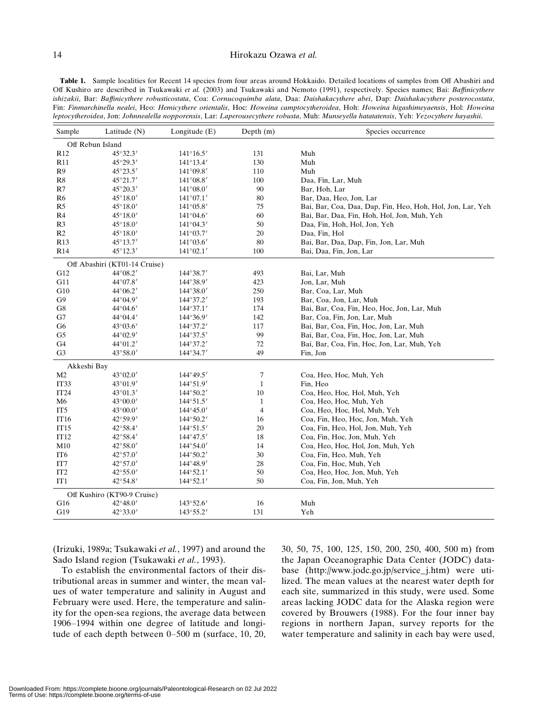### 14 Hirokazu Ozawa et al.

Table 1. Sample localities for Recent 14 species from four areas around Hokkaido. Detailed locations of samples from Off Abashiri and Off Kushiro are described in Tsukawaki et al. (2003) and Tsukawaki and Nemoto (1991), respectively. Species names; Bai: Baffinicythere ishizakii, Bar: Baffinicythere robusticostata, Coa: Cornucoquimba alata, Daa: Daishakacythere abei, Dap: Daishakacythere posterocostata, Fin: Finmarchinella nealei, Heo: Hemicythere orientalis, Hoc: Howeina camptocytheroidea, Hoh: Howeina higashimeyaensis, Hol: Howeina leptocytheroidea, Jon: Johnnealella nopporensis, Lar: Laperousecythere robusta, Muh: Munseyella hatatatensis, Yeh: Yezocythere hayashii.

| Sample           | Latitude $(N)$                | Longitude $(E)$    | Depth $(m)$    | Species occurrence                                         |  |  |  |  |  |
|------------------|-------------------------------|--------------------|----------------|------------------------------------------------------------|--|--|--|--|--|
|                  | Off Rebun Island              |                    |                |                                                            |  |  |  |  |  |
| R <sub>12</sub>  | 45°32.3′                      | $141^{\circ}16.5'$ | 131            | Muh                                                        |  |  |  |  |  |
| <b>R11</b>       | 45°29.3′                      | 141°13.4'          | 130            | Muh                                                        |  |  |  |  |  |
| R9               | 45°23.5'                      | 141°09.8'          | 110            | Muh                                                        |  |  |  |  |  |
| R8               | $45^{\circ}21.7'$             | $141^{\circ}08.8'$ | 100            | Daa, Fin, Lar, Muh                                         |  |  |  |  |  |
| R7               | $45^{\circ}20.3'$             | $141^{\circ}08.0'$ | 90             | Bar, Hoh, Lar                                              |  |  |  |  |  |
| R <sub>6</sub>   | $45^{\circ}18.0'$             | $141^{\circ}07.1'$ | 80             | Bar, Daa, Heo, Jon, Lar                                    |  |  |  |  |  |
| R <sub>5</sub>   | $45^{\circ}18.0'$             | $141^{\circ}05.8'$ | 75             | Bai, Bar, Coa, Daa, Dap, Fin, Heo, Hoh, Hol, Jon, Lar, Yeh |  |  |  |  |  |
| R4               | $45^{\circ}18.0'$             | $141^{\circ}04.6'$ | 60             | Bai, Bar, Daa, Fin, Hoh, Hol, Jon, Muh, Yeh                |  |  |  |  |  |
| R <sub>3</sub>   | $45^{\circ}18.0'$             | $141^{\circ}04.3'$ | 50             | Daa, Fin, Hoh, Hol, Jon, Yeh                               |  |  |  |  |  |
| R <sub>2</sub>   | $45^{\circ}18.0'$             | $141^{\circ}03.7'$ | 20             | Daa, Fin, Hol                                              |  |  |  |  |  |
| R <sub>13</sub>  | 45°13.7'                      | $141^{\circ}03.6'$ | 80             | Bai, Bar, Daa, Dap, Fin, Jon, Lar, Muh                     |  |  |  |  |  |
| R <sub>14</sub>  | 45°12.3'                      | $141^{\circ}02.1'$ | 100            | Bai, Daa, Fin, Jon, Lar                                    |  |  |  |  |  |
|                  | Off Abashiri (KT01-14 Cruise) |                    |                |                                                            |  |  |  |  |  |
| G12              | 44°08.2′                      | 144°38.7'          | 493            | Bai, Lar, Muh                                              |  |  |  |  |  |
| G11              | 44°07.8′                      | $144^{\circ}38.9'$ | 423            | Jon, Lar, Muh                                              |  |  |  |  |  |
| G10              | $44^{\circ}06.2'$             | $144^{\circ}38.0'$ | 250            | Bar, Coa, Lar, Muh                                         |  |  |  |  |  |
| G9               | 44°04.9′                      | 144°37.2'          | 193            | Bar, Coa, Jon, Lar, Muh                                    |  |  |  |  |  |
| G8               | 44°04.6'                      | 144°37.1'          | 174            | Bai, Bar, Coa, Fin, Heo, Hoc, Jon, Lar, Muh                |  |  |  |  |  |
| G7               | 44°04.4′                      | 144°36.9'          | 142            | Bar, Coa, Fin, Jon, Lar, Muh                               |  |  |  |  |  |
| G6               | $43^{\circ}03.6'$             | 144°37.2'          | 117            | Bai, Bar, Coa, Fin, Hoc, Jon, Lar, Muh                     |  |  |  |  |  |
| G <sub>5</sub>   | 44°02.9′                      | $144^{\circ}37.5'$ | 99             | Bai, Bar, Coa, Fin, Hoc, Jon, Lar, Muh                     |  |  |  |  |  |
| G4               | 44°01.2′                      | 144°37.2'          | 72             | Bai, Bar, Coa, Fin, Hoc, Jon, Lar, Muh, Yeh                |  |  |  |  |  |
| G <sub>3</sub>   | 43°58.0'                      | 144°34.7'          | 49             | Fin, Jon                                                   |  |  |  |  |  |
| Akkeshi Bay      |                               |                    |                |                                                            |  |  |  |  |  |
| M2               | 43°02.0'                      | $144^{\circ}49.5'$ | $\tau$         | Coa, Heo, Hoc, Muh, Yeh                                    |  |  |  |  |  |
| IT33             | 43°01.9′                      | 144°51.9'          | $\mathbf{1}$   | Fin, Heo                                                   |  |  |  |  |  |
| IT <sub>24</sub> | $43^{\circ}01.3'$             | $144^{\circ}50.2'$ | 10             | Coa, Heo, Hoc, Hol, Muh, Yeh                               |  |  |  |  |  |
| M <sub>6</sub>   | 43°00.0'                      | $144^{\circ}51.5'$ | $\mathbf{1}$   | Coa, Heo, Hoc, Muh, Yeh                                    |  |  |  |  |  |
| IT5              | $43^{\circ}00.0'$             | $144^{\circ}45.0'$ | $\overline{4}$ | Coa, Heo, Hoc, Hol, Muh, Yeh                               |  |  |  |  |  |
| IT16             | 42°59.9'                      | 144°50.2'          | 16             | Coa, Fin, Heo, Hoc, Jon, Muh, Yeh                          |  |  |  |  |  |
| <b>IT15</b>      | 42°58.4′                      | $144^{\circ}51.5'$ | 20             | Coa, Fin, Heo, Hol, Jon, Muh, Yeh                          |  |  |  |  |  |
| IT <sub>12</sub> | 42°58.4′                      | $144^{\circ}47.5'$ | 18             | Coa, Fin, Hoc, Jon, Muh, Yeh                               |  |  |  |  |  |
| M10              | 42°58.0'                      | $144^{\circ}54.0'$ | 14             | Coa, Heo, Hoc, Hol, Jon, Muh, Yeh                          |  |  |  |  |  |
| IT <sub>6</sub>  | 42°57.0'                      | 144°50.2'          | 30             | Coa, Fin, Heo, Muh, Yeh                                    |  |  |  |  |  |
| IT7              | 42°57.0′                      | $144^{\circ}48.9'$ | 28             | Coa, Fin, Hoc, Muh, Yeh                                    |  |  |  |  |  |
| IT <sub>2</sub>  | $42^{\circ}55.0'$             | 144°52.1'          | 50             | Coa, Heo, Hoc, Jon, Muh, Yeh                               |  |  |  |  |  |
| IT <sub>1</sub>  | 42°54.8'                      | 144°52.1'          | 50             | Coa, Fin, Jon, Muh, Yeh                                    |  |  |  |  |  |
|                  | Off Kushiro (KT90-9 Cruise)   |                    |                |                                                            |  |  |  |  |  |
| G16              | 42°48.0'                      | 143°52.6'          | 16             | Muh                                                        |  |  |  |  |  |
| G19              | 42°33.0'                      | 143°55.2'          | 131            | Yeh                                                        |  |  |  |  |  |

(Irizuki, 1989a; Tsukawaki et al., 1997) and around the Sado Island region (Tsukawaki et al., 1993).

To establish the environmental factors of their distributional areas in summer and winter, the mean values of water temperature and salinity in August and February were used. Here, the temperature and salinity for the open-sea regions, the average data between 1906–1994 within one degree of latitude and longitude of each depth between 0–500 m (surface, 10, 20, 30, 50, 75, 100, 125, 150, 200, 250, 400, 500 m) from the Japan Oceanographic Data Center (JODC) database (http://www.jodc.go.jp/service\_j.htm) were utilized. The mean values at the nearest water depth for each site, summarized in this study, were used. Some areas lacking JODC data for the Alaska region were covered by Brouwers (1988). For the four inner bay regions in northern Japan, survey reports for the water temperature and salinity in each bay were used,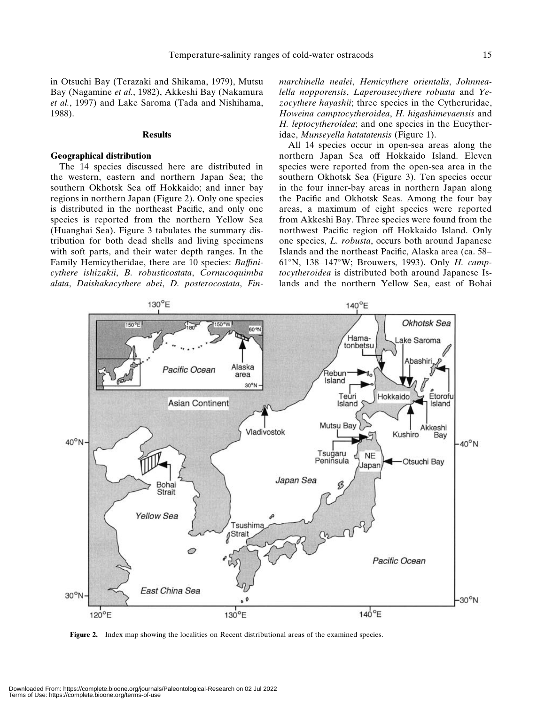in Otsuchi Bay (Terazaki and Shikama, 1979), Mutsu Bay (Nagamine et al., 1982), Akkeshi Bay (Nakamura et al., 1997) and Lake Saroma (Tada and Nishihama, 1988).

#### Results

#### Geographical distribution

The 14 species discussed here are distributed in the western, eastern and northern Japan Sea; the southern Okhotsk Sea off Hokkaido; and inner bay regions in northern Japan (Figure 2). Only one species is distributed in the northeast Pacific, and only one species is reported from the northern Yellow Sea (Huanghai Sea). Figure 3 tabulates the summary distribution for both dead shells and living specimens with soft parts, and their water depth ranges. In the Family Hemicytheridae, there are 10 species: Baffinicythere ishizakii, B. robusticostata, Cornucoquimba alata, Daishakacythere abei, D. posterocostata, Finmarchinella nealei, Hemicythere orientalis, Johnnealella nopporensis, Laperousecythere robusta and Yezocythere hayashii; three species in the Cytheruridae, Howeina camptocytheroidea, H. higashimeyaensis and H. leptocytheroidea; and one species in the Eucytheridae, Munseyella hatatatensis (Figure 1).

All 14 species occur in open-sea areas along the northern Japan Sea off Hokkaido Island. Eleven species were reported from the open-sea area in the southern Okhotsk Sea (Figure 3). Ten species occur in the four inner-bay areas in northern Japan along the Pacific and Okhotsk Seas. Among the four bay areas, a maximum of eight species were reported from Akkeshi Bay. Three species were found from the northwest Pacific region off Hokkaido Island. Only one species, L. robusta, occurs both around Japanese Islands and the northeast Pacific, Alaska area (ca. 58–  $61^\circ$ N, 138-147°W; Brouwers, 1993). Only H. camptocytheroidea is distributed both around Japanese Islands and the northern Yellow Sea, east of Bohai



Figure 2. Index map showing the localities on Recent distributional areas of the examined species.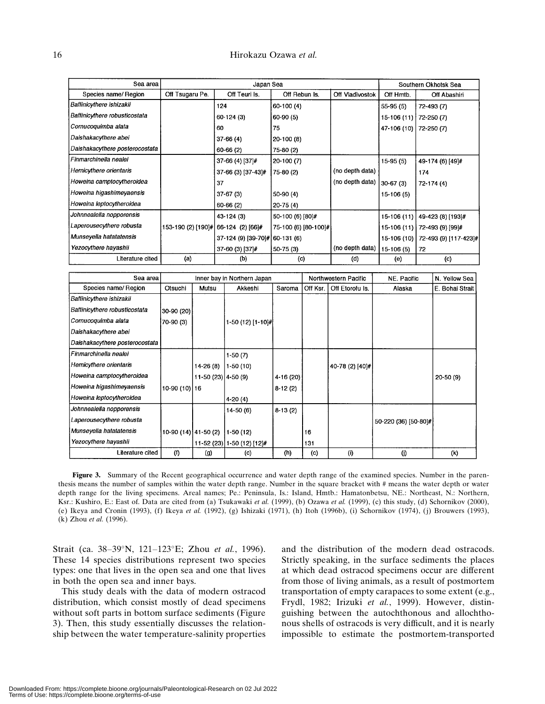| Sea area                       |                                     | Japan Sea                      |                       |                 | Southern Okhotsk Sea |                       |  |
|--------------------------------|-------------------------------------|--------------------------------|-----------------------|-----------------|----------------------|-----------------------|--|
| Species name/ Region           | Off Tsugaru Pe.                     | Off Teuri Is.                  | Off Rebun Is.         | Off Vladivostok | Off Hmtb.            | Off Abashiri          |  |
| Baffinicythere ishizakii       |                                     | 124                            | 60-100 (4)            |                 | $55-95(5)$           | 72-493 (7)            |  |
| Baffinicythere robusticostata  |                                     | $60-124(3)$                    | 60-90 (5)             |                 | 15-106 (11)          | 72-250 (7)            |  |
| Cornucoquimba alata            |                                     | 60                             | 75                    |                 | 47-106 (10)          | 72-250 (7)            |  |
| Daishakacythere abei           |                                     | $37-66(4)$                     | 20-100 (8)            |                 |                      |                       |  |
| Daishakacythere posterocostata |                                     | $60-66(2)$                     | 75-80 (2)             |                 |                      |                       |  |
| Finmarchinella nealei          |                                     | $37-66(4)$ $[37]$ #            | 20-100 (7)            |                 | $15-95(5)$           | 49-174 (6) [49]#      |  |
| Hemicythere orientaris         |                                     | 37-66 (3) [37-43]#             | 75-80 (2)             | (no depth data) |                      | 174                   |  |
| Howeina camptocytheroidea      |                                     | 37                             |                       | (no depth data) | $30-67(3)$           | 72-174 (4)            |  |
| Howeina higashimeyaensis       |                                     | $37-67(3)$                     | 50-90 (4)             |                 | 15-106 (5)           |                       |  |
| Howeina leptocytheroidea       |                                     | $60-66(2)$                     | 20-75 (4)             |                 |                      |                       |  |
| Johnnealella nopporensis       |                                     | 43-124 (3)                     | 50-100 (6) [80]#      |                 | 15-106 (11)          | 49-423 (8) [193]#     |  |
| Laperousecythere robusta       | 153-190 (2) [190]# 66-124 (2) [66]# |                                | 75-100 (6) [80-100]#] |                 | 15-106 (11)          | 72-493 (9) [99]#      |  |
| Munseyella hatatatensis        |                                     | 37-124 (9) [39-70]# 60-131 (6) |                       |                 | 15-106 (10)          | 72-493 (9) [117-423]# |  |
| Yezocythere hayashii           |                                     | 37-60 (3) [37]#                | 50-75 (3)             | (no depth data) | 15-106 (5)           | 72                    |  |
| Literature cited               | (a)                                 | (b)                            | (c)                   | (d)             | (e)                  | (c)                   |  |

| Sea areal                       | Inner bay in Northern Japan |                     | Northwestern Pacific       |           | NE. Pacific | N. Yellow Sea   |                      |                   |
|---------------------------------|-----------------------------|---------------------|----------------------------|-----------|-------------|-----------------|----------------------|-------------------|
| Species name/ Region            | Otsuchi                     | Mutsu               | Akkeshi                    | Saroma    | Off Ksr.    | Off Etorofu Is. | Alaska               | E. Bohai Strait I |
| <b>Baffinicythere ishizakii</b> |                             |                     |                            |           |             |                 |                      |                   |
| Baffinicythere robusticostata   | 30-90 (20)                  |                     |                            |           |             |                 |                      |                   |
| Cornucoquimba alata             | 70-90 (3)                   |                     | 1-50 (12) [1-10]#[         |           |             |                 |                      |                   |
| Daishakacythere abei            |                             |                     |                            |           |             |                 |                      |                   |
| Daishakacythere posterocostata  |                             |                     |                            |           |             |                 |                      |                   |
| l Finmarchinella nealei         |                             |                     | $1-50(7)$                  |           |             |                 |                      |                   |
| Hemicythere orientaris          |                             | 14-26 (8)           | 1-50 (10)                  |           |             | 40-78 (2) [40]# |                      |                   |
| Howeina camptocytheroidea       |                             | 11-50 (23) 4-50 (9) |                            | 4-16 (20) |             |                 |                      | $20-50(9)$        |
| Howeina higashimeyaensis        | 10-90 (10) 16               |                     |                            | $8-12(2)$ |             |                 |                      |                   |
| Howeina leptocytheroidea        |                             |                     | 4-20 (4)                   |           |             |                 |                      |                   |
| Johnnealella nopporensis        |                             |                     | $14-50(6)$                 | $8-13(2)$ |             |                 |                      |                   |
| Laperousecythere robusta        |                             |                     |                            |           |             |                 | 50-220 (36) [50-80]# |                   |
| Munseyella hatatatensis         | 10-90 (14) 41-50 (2)        |                     | $1-50(12)$                 |           | 16          |                 |                      |                   |
| Yezocythere hayashii            |                             |                     | 11-52 (23) 1-50 (12) [12]# |           | 131         |                 |                      |                   |
| Literature cited                | (1)                         | (g)                 | (c)                        | (h)       | (c)         | (i)             | (i)                  | (k)               |

Figure 3. Summary of the Recent geographical occurrence and water depth range of the examined species. Number in the parenthesis means the number of samples within the water depth range. Number in the square bracket with # means the water depth or water depth range for the living specimens. Areal names; Pe.: Peninsula, Is.: Island, Hmtb.: Hamatonbetsu, NE.: Northeast, N.: Northern, Ksr.: Kushiro, E.: East of. Data are cited from (a) Tsukawaki et al. (1999), (b) Ozawa et al. (1999), (c) this study, (d) Schornikov (2000), (e) Ikeya and Cronin (1993), (f) Ikeya et al. (1992), (g) Ishizaki (1971), (h) Itoh (1996b), (i) Schornikov (1974), (j) Brouwers (1993), (k) Zhou et al. (1996).

Strait (ca. 38-39°N, 121-123°E; Zhou et al., 1996). These 14 species distributions represent two species types: one that lives in the open sea and one that lives in both the open sea and inner bays.

This study deals with the data of modern ostracod distribution, which consist mostly of dead specimens without soft parts in bottom surface sediments (Figure 3). Then, this study essentially discusses the relationship between the water temperature-salinity properties and the distribution of the modern dead ostracods. Strictly speaking, in the surface sediments the places at which dead ostracod specimens occur are different from those of living animals, as a result of postmortem transportation of empty carapaces to some extent (e.g., Frydl, 1982; Irizuki et al., 1999). However, distinguishing between the autochthonous and allochthonous shells of ostracods is very difficult, and it is nearly impossible to estimate the postmortem-transported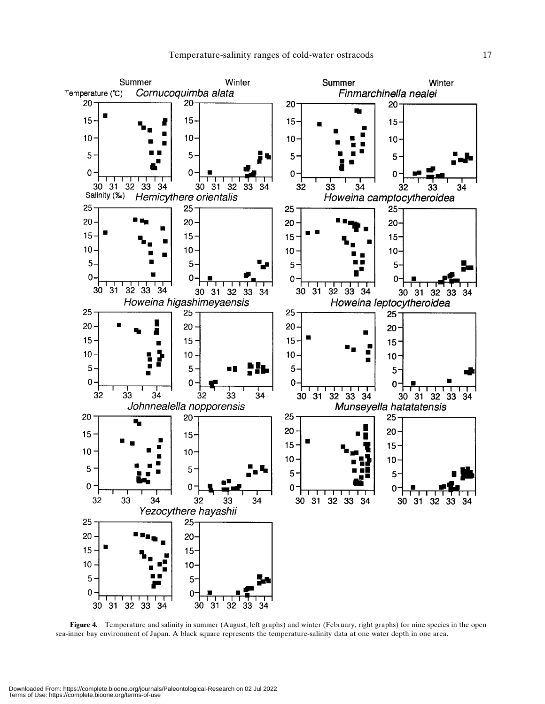

Figure 4. Temperature and salinity in summer (August, left graphs) and winter (February, right graphs) for nine species in the open sea-inner bay environment of Japan. A black square represents the temperature-salinity data at one water depth in one area.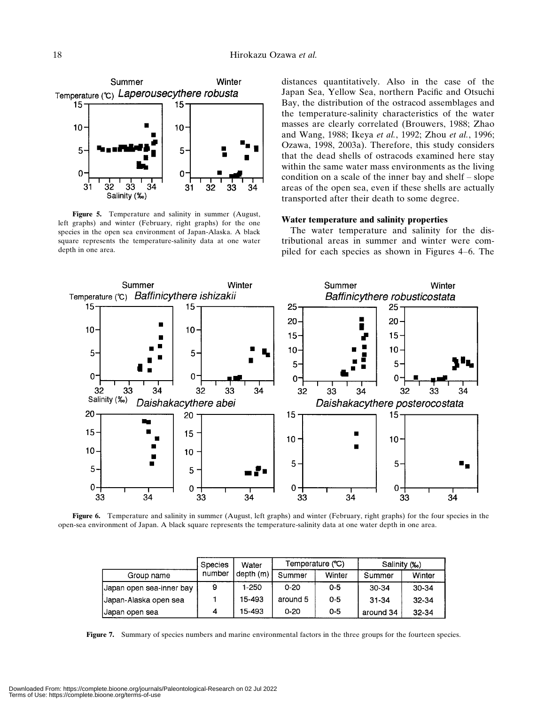

Figure 5. Temperature and salinity in summer (August, left graphs) and winter (February, right graphs) for the one species in the open sea environment of Japan-Alaska. A black square represents the temperature-salinity data at one water depth in one area.

distances quantitatively. Also in the case of the Japan Sea, Yellow Sea, northern Pacific and Otsuchi Bay, the distribution of the ostracod assemblages and the temperature-salinity characteristics of the water masses are clearly correlated (Brouwers, 1988; Zhao and Wang, 1988; Ikeya et al., 1992; Zhou et al., 1996; Ozawa, 1998, 2003a). Therefore, this study considers that the dead shells of ostracods examined here stay within the same water mass environments as the living condition on a scale of the inner bay and shelf – slope areas of the open sea, even if these shells are actually transported after their death to some degree.

#### Water temperature and salinity properties

The water temperature and salinity for the distributional areas in summer and winter were compiled for each species as shown in Figures 4–6. The



Figure 6. Temperature and salinity in summer (August, left graphs) and winter (February, right graphs) for the four species in the open-sea environment of Japan. A black square represents the temperature-salinity data at one water depth in one area.

|                          | <b>Species</b> | Water<br>depth(m) |          | Temperature (°C) | Salinity (%) |        |
|--------------------------|----------------|-------------------|----------|------------------|--------------|--------|
| Group name               | number         |                   | Summer   | Winter           | Summer       | Winter |
| Uapan open sea-inner bay | 9              | 1-250             | $0 - 20$ | $0 - 5$          | 30-34        | 30-34  |
| Japan-Alaska open sea    |                | 15-493            | around 5 | $0 - 5$          | $31 - 34$    | 32-34  |
| Japan open sea           | 4              | 15 493            | $0 - 20$ | $0 - 5$          | around 34    | 32-34  |

Figure 7. Summary of species numbers and marine environmental factors in the three groups for the fourteen species.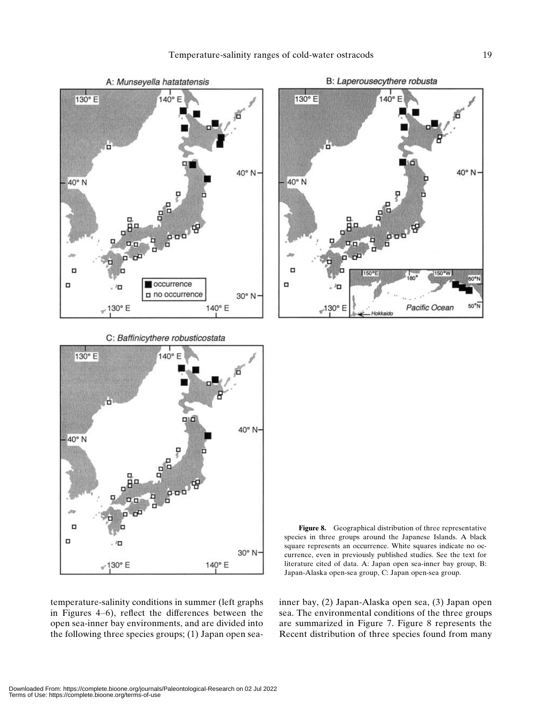

C: Baffinicythere robusticostata



temperature-salinity conditions in summer (left graphs in Figures 4–6), reflect the differences between the open sea-inner bay environments, and are divided into the following three species groups; (1) Japan open sea-



Figure 8. Geographical distribution of three representative species in three groups around the Japanese Islands. A black square represents an occurrence. White squares indicate no occurrence, even in previously published studies. See the text for literature cited of data. A: Japan open sea-inner bay group, B: Japan-Alaska open-sea group, C: Japan open-sea group.

inner bay, (2) Japan-Alaska open sea, (3) Japan open sea. The environmental conditions of the three groups are summarized in Figure 7. Figure 8 represents the Recent distribution of three species found from many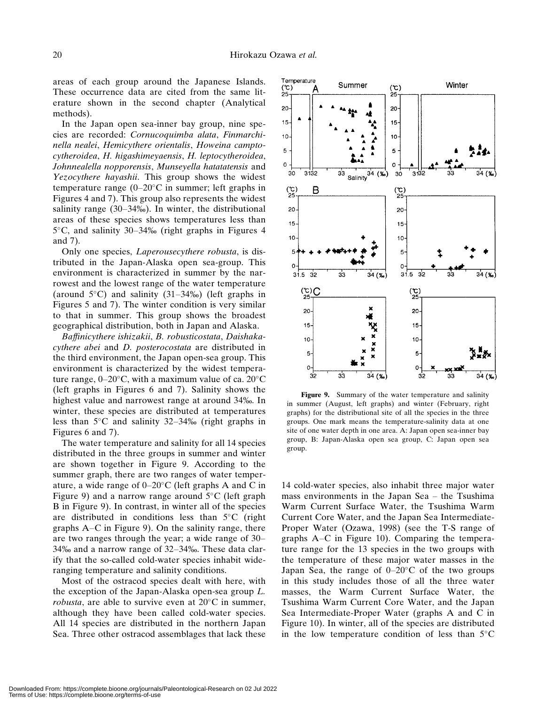areas of each group around the Japanese Islands. These occurrence data are cited from the same literature shown in the second chapter (Analytical methods).

In the Japan open sea-inner bay group, nine species are recorded: Cornucoquimba alata, Finmarchinella nealei, Hemicythere orientalis, Howeina camptocytheroidea, H. higashimeyaensis, H. leptocytheroidea, Johnnealella nopporensis, Munseyella hatatatensis and Yezocythere hayashii. This group shows the widest temperature range  $(0-20^{\circ}C)$  in summer; left graphs in Figures 4 and 7). This group also represents the widest salinity range  $(30-34\%)$ . In winter, the distributional areas of these species shows temperatures less than  $5^{\circ}$ C, and salinity 30–34‰ (right graphs in Figures 4 and 7).

Only one species, Laperousecythere robusta, is distributed in the Japan-Alaska open sea-group. This environment is characterized in summer by the narrowest and the lowest range of the water temperature (around  $5^{\circ}$ C) and salinity (31–34‰) (left graphs in Figures 5 and 7). The winter condition is very similar to that in summer. This group shows the broadest geographical distribution, both in Japan and Alaska.

Baffinicythere ishizakii, B. robusticostata, Daishakacythere abei and D. posterocostata are distributed in the third environment, the Japan open-sea group. This environment is characterized by the widest temperature range,  $0-20^{\circ}$ C, with a maximum value of ca.  $20^{\circ}$ C (left graphs in Figures 6 and 7). Salinity shows the highest value and narrowest range at around 34‰. In winter, these species are distributed at temperatures less than  $5^{\circ}$ C and salinity 32–34‰ (right graphs in Figures 6 and 7).

The water temperature and salinity for all 14 species distributed in the three groups in summer and winter are shown together in Figure 9. According to the summer graph, there are two ranges of water temperature, a wide range of  $0-20$ °C (left graphs A and C in Figure 9) and a narrow range around  $5^{\circ}$ C (left graph B in Figure 9). In contrast, in winter all of the species are distributed in conditions less than  $5^{\circ}$ C (right graphs A–C in Figure 9). On the salinity range, there are two ranges through the year; a wide range of 30–  $34\%$  and a narrow range of  $32-34\%$ . These data clarify that the so-called cold-water species inhabit wideranging temperature and salinity conditions.

Most of the ostracod species dealt with here, with the exception of the Japan-Alaska open-sea group L. *robusta*, are able to survive even at  $20^{\circ}$ C in summer, although they have been called cold-water species. All 14 species are distributed in the northern Japan Sea. Three other ostracod assemblages that lack these



Figure 9. Summary of the water temperature and salinity summer (August, left graphs) and winter (February, right graphs) for the distributional site of all the species in the three groups. One mark means the temperature-salinity data at one site of one water depth in one area. A: Japan open sea-inner bay group, B: Japan-Alaska open sea group, C: Japan open sea group.

14 cold-water species, also inhabit three major water mass environments in the Japan Sea – the Tsushima Warm Current Surface Water, the Tsushima Warm Current Core Water, and the Japan Sea Intermediate-Proper Water (Ozawa, 1998) (see the T-S range of graphs A–C in Figure 10). Comparing the temperature range for the 13 species in the two groups with the temperature of these major water masses in the Japan Sea, the range of  $0-20$ °C of the two groups in this study includes those of all the three water masses, the Warm Current Surface Water, the Tsushima Warm Current Core Water, and the Japan Sea Intermediate-Proper Water (graphs A and C in Figure 10). In winter, all of the species are distributed in the low temperature condition of less than  $5^{\circ}$ C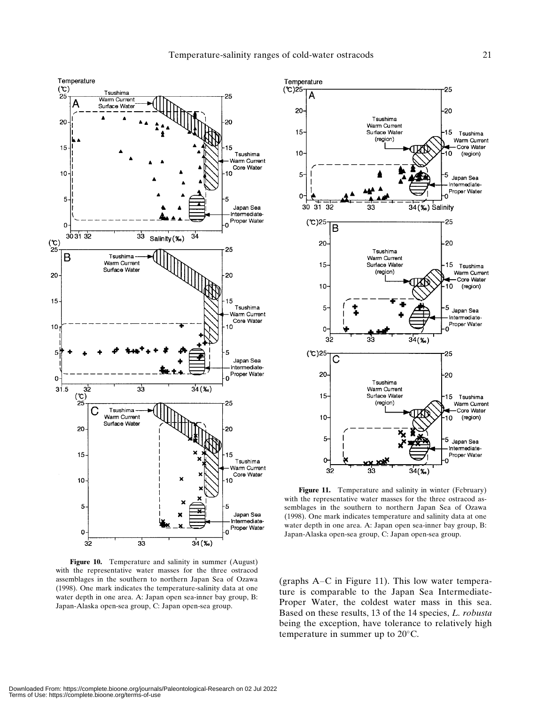

Figure 10. Temperature and salinity in summer (August) with the representative water masses for the three ostracod assemblages in the southern to northern Japan Sea of Ozawa (1998). One mark indicates the temperature-salinity data at one water depth in one area. A: Japan open sea-inner bay group, B: Japan-Alaska open-sea group, C: Japan open-sea group.



Figure 11. Temperature and salinity in winter (February) with the representative water masses for the three ostracod assemblages in the southern to northern Japan Sea of Ozawa (1998). One mark indicates temperature and salinity data at one water depth in one area. A: Japan open sea-inner bay group, B: Japan-Alaska open-sea group, C: Japan open-sea group.

(graphs A–C in Figure 11). This low water temperature is comparable to the Japan Sea Intermediate-Proper Water, the coldest water mass in this sea. Based on these results, 13 of the 14 species, L. robusta being the exception, have tolerance to relatively high temperature in summer up to  $20^{\circ}$ C.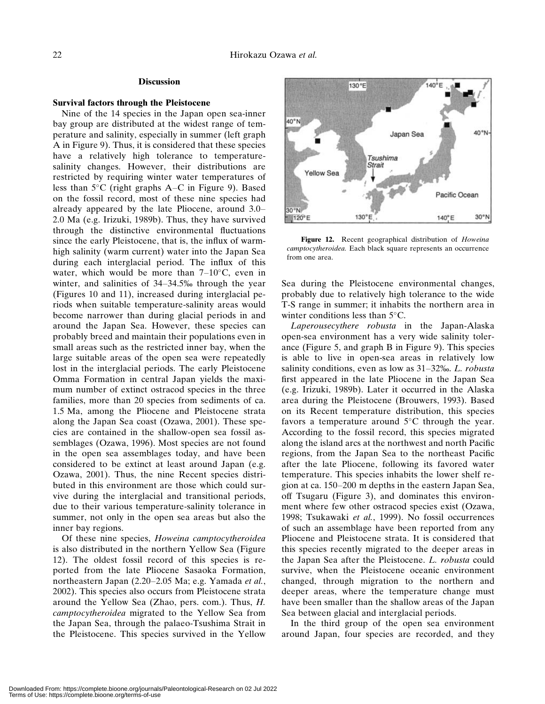#### **Discussion**

#### Survival factors through the Pleistocene

Nine of the 14 species in the Japan open sea-inner bay group are distributed at the widest range of temperature and salinity, especially in summer (left graph A in Figure 9). Thus, it is considered that these species have a relatively high tolerance to temperaturesalinity changes. However, their distributions are restricted by requiring winter water temperatures of less than  $5^{\circ}$ C (right graphs A–C in Figure 9). Based on the fossil record, most of these nine species had already appeared by the late Pliocene, around 3.0– 2.0 Ma (e.g. Irizuki, 1989b). Thus, they have survived through the distinctive environmental fluctuations since the early Pleistocene, that is, the influx of warmhigh salinity (warm current) water into the Japan Sea during each interglacial period. The influx of this water, which would be more than  $7-10^{\circ}$ C, even in winter, and salinities of  $34-34.5%$  through the year (Figures 10 and 11), increased during interglacial periods when suitable temperature-salinity areas would become narrower than during glacial periods in and around the Japan Sea. However, these species can probably breed and maintain their populations even in small areas such as the restricted inner bay, when the large suitable areas of the open sea were repeatedly lost in the interglacial periods. The early Pleistocene Omma Formation in central Japan yields the maximum number of extinct ostracod species in the three families, more than 20 species from sediments of ca. 1.5 Ma, among the Pliocene and Pleistocene strata along the Japan Sea coast (Ozawa, 2001). These species are contained in the shallow-open sea fossil assemblages (Ozawa, 1996). Most species are not found in the open sea assemblages today, and have been considered to be extinct at least around Japan (e.g. Ozawa, 2001). Thus, the nine Recent species distributed in this environment are those which could survive during the interglacial and transitional periods, due to their various temperature-salinity tolerance in summer, not only in the open sea areas but also the inner bay regions.

Of these nine species, Howeina camptocytheroidea is also distributed in the northern Yellow Sea (Figure 12). The oldest fossil record of this species is reported from the late Pliocene Sasaoka Formation, northeastern Japan (2.20–2.05 Ma; e.g. Yamada et al., 2002). This species also occurs from Pleistocene strata around the Yellow Sea (Zhao, pers. com.). Thus, H. camptocytheroidea migrated to the Yellow Sea from the Japan Sea, through the palaeo-Tsushima Strait in the Pleistocene. This species survived in the Yellow



Figure 12. Recent geographical distribution of Howeina camptocytheroidea. Each black square represents an occurrence from one area.

Sea during the Pleistocene environmental changes, probably due to relatively high tolerance to the wide T-S range in summer; it inhabits the northern area in winter conditions less than  $5^{\circ}$ C.

Laperousecythere robusta in the Japan-Alaska open-sea environment has a very wide salinity tolerance (Figure 5, and graph B in Figure 9). This species is able to live in open-sea areas in relatively low salinity conditions, even as low as  $31-32\%$ . L. robusta first appeared in the late Pliocene in the Japan Sea (e.g. Irizuki, 1989b). Later it occurred in the Alaska area during the Pleistocene (Brouwers, 1993). Based on its Recent temperature distribution, this species favors a temperature around  $5^{\circ}$ C through the year. According to the fossil record, this species migrated along the island arcs at the northwest and north Pacific regions, from the Japan Sea to the northeast Pacific after the late Pliocene, following its favored water temperature. This species inhabits the lower shelf region at ca. 150–200 m depths in the eastern Japan Sea, off Tsugaru (Figure 3), and dominates this environment where few other ostracod species exist (Ozawa, 1998; Tsukawaki et al., 1999). No fossil occurrences of such an assemblage have been reported from any Pliocene and Pleistocene strata. It is considered that this species recently migrated to the deeper areas in the Japan Sea after the Pleistocene. L. robusta could survive, when the Pleistocene oceanic environment changed, through migration to the northern and deeper areas, where the temperature change must have been smaller than the shallow areas of the Japan Sea between glacial and interglacial periods.

In the third group of the open sea environment around Japan, four species are recorded, and they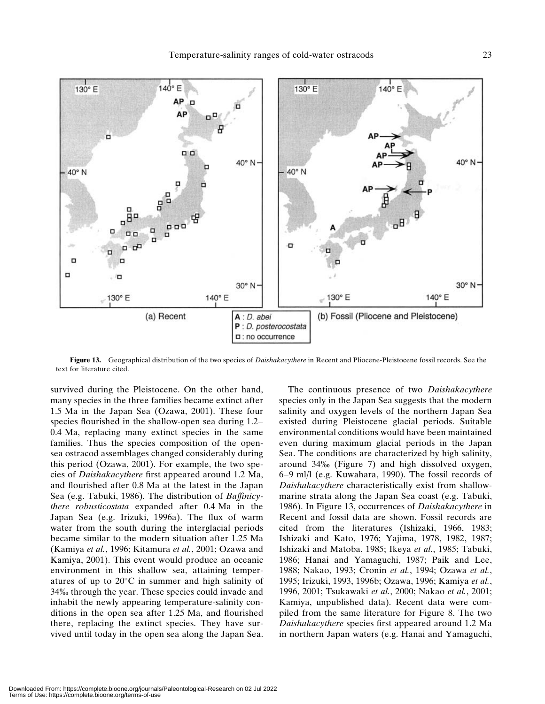

Figure 13. Geographical distribution of the two species of Daishakacythere in Recent and Pliocene-Pleistocene fossil records. See the text for literature cited.

survived during the Pleistocene. On the other hand, many species in the three families became extinct after 1.5 Ma in the Japan Sea (Ozawa, 2001). These four species flourished in the shallow-open sea during 1.2– 0.4 Ma, replacing many extinct species in the same families. Thus the species composition of the opensea ostracod assemblages changed considerably during this period (Ozawa, 2001). For example, the two species of Daishakacythere first appeared around 1.2 Ma, and flourished after 0.8 Ma at the latest in the Japan Sea (e.g. Tabuki, 1986). The distribution of Baffinicythere robusticostata expanded after 0.4 Ma in the Japan Sea (e.g. Irizuki, 1996a). The flux of warm water from the south during the interglacial periods became similar to the modern situation after 1.25 Ma (Kamiya et al., 1996; Kitamura et al., 2001; Ozawa and Kamiya, 2001). This event would produce an oceanic environment in this shallow sea, attaining temperatures of up to  $20^{\circ}$ C in summer and high salinity of 34‰ through the year. These species could invade and inhabit the newly appearing temperature-salinity conditions in the open sea after 1.25 Ma, and flourished there, replacing the extinct species. They have survived until today in the open sea along the Japan Sea.

The continuous presence of two Daishakacythere species only in the Japan Sea suggests that the modern salinity and oxygen levels of the northern Japan Sea existed during Pleistocene glacial periods. Suitable environmental conditions would have been maintained even during maximum glacial periods in the Japan Sea. The conditions are characterized by high salinity, around  $34\%$  (Figure 7) and high dissolved oxygen, 6–9 ml/l (e.g. Kuwahara, 1990). The fossil records of Daishakacythere characteristically exist from shallowmarine strata along the Japan Sea coast (e.g. Tabuki, 1986). In Figure 13, occurrences of Daishakacythere in Recent and fossil data are shown. Fossil records are cited from the literatures (Ishizaki, 1966, 1983; Ishizaki and Kato, 1976; Yajima, 1978, 1982, 1987; Ishizaki and Matoba, 1985; Ikeya et al., 1985; Tabuki, 1986; Hanai and Yamaguchi, 1987; Paik and Lee, 1988; Nakao, 1993; Cronin et al., 1994; Ozawa et al., 1995; Irizuki, 1993, 1996b; Ozawa, 1996; Kamiya et al., 1996, 2001; Tsukawaki et al., 2000; Nakao et al., 2001; Kamiya, unpublished data). Recent data were compiled from the same literature for Figure 8. The two Daishakacythere species first appeared around 1.2 Ma in northern Japan waters (e.g. Hanai and Yamaguchi,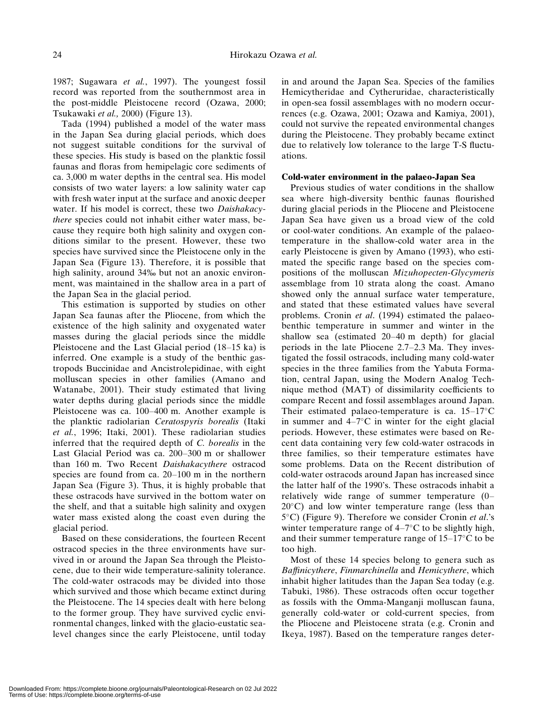1987; Sugawara et al., 1997). The youngest fossil record was reported from the southernmost area in the post-middle Pleistocene record (Ozawa, 2000; Tsukawaki et al., 2000) (Figure 13).

Tada (1994) published a model of the water mass in the Japan Sea during glacial periods, which does not suggest suitable conditions for the survival of these species. His study is based on the planktic fossil faunas and floras from hemipelagic core sediments of ca. 3,000 m water depths in the central sea. His model consists of two water layers: a low salinity water cap with fresh water input at the surface and anoxic deeper water. If his model is correct, these two Daishakacythere species could not inhabit either water mass, because they require both high salinity and oxygen conditions similar to the present. However, these two species have survived since the Pleistocene only in the Japan Sea (Figure 13). Therefore, it is possible that high salinity, around 34‰ but not an anoxic environment, was maintained in the shallow area in a part of the Japan Sea in the glacial period.

This estimation is supported by studies on other Japan Sea faunas after the Pliocene, from which the existence of the high salinity and oxygenated water masses during the glacial periods since the middle Pleistocene and the Last Glacial period (18–15 ka) is inferred. One example is a study of the benthic gastropods Buccinidae and Ancistrolepidinae, with eight molluscan species in other families (Amano and Watanabe, 2001). Their study estimated that living water depths during glacial periods since the middle Pleistocene was ca. 100–400 m. Another example is the planktic radiolarian Ceratospyris borealis (Itaki et al., 1996; Itaki, 2001). These radiolarian studies inferred that the required depth of C. borealis in the Last Glacial Period was ca. 200–300 m or shallower than 160 m. Two Recent Daishakacythere ostracod species are found from ca. 20–100 m in the northern Japan Sea (Figure 3). Thus, it is highly probable that these ostracods have survived in the bottom water on the shelf, and that a suitable high salinity and oxygen water mass existed along the coast even during the glacial period.

Based on these considerations, the fourteen Recent ostracod species in the three environments have survived in or around the Japan Sea through the Pleistocene, due to their wide temperature-salinity tolerance. The cold-water ostracods may be divided into those which survived and those which became extinct during the Pleistocene. The 14 species dealt with here belong to the former group. They have survived cyclic environmental changes, linked with the glacio-eustatic sealevel changes since the early Pleistocene, until today

in and around the Japan Sea. Species of the families Hemicytheridae and Cytheruridae, characteristically in open-sea fossil assemblages with no modern occurrences (e.g. Ozawa, 2001; Ozawa and Kamiya, 2001), could not survive the repeated environmental changes during the Pleistocene. They probably became extinct due to relatively low tolerance to the large T-S fluctuations.

## Cold-water environment in the palaeo-Japan Sea

Previous studies of water conditions in the shallow sea where high-diversity benthic faunas flourished during glacial periods in the Pliocene and Pleistocene Japan Sea have given us a broad view of the cold or cool-water conditions. An example of the palaeotemperature in the shallow-cold water area in the early Pleistocene is given by Amano (1993), who estimated the specific range based on the species compositions of the molluscan Mizuhopecten-Glycymeris assemblage from 10 strata along the coast. Amano showed only the annual surface water temperature, and stated that these estimated values have several problems. Cronin et al. (1994) estimated the palaeobenthic temperature in summer and winter in the shallow sea (estimated 20–40 m depth) for glacial periods in the late Pliocene 2.7–2.3 Ma. They investigated the fossil ostracods, including many cold-water species in the three families from the Yabuta Formation, central Japan, using the Modern Analog Technique method (MAT) of dissimilarity coefficients to compare Recent and fossil assemblages around Japan. Their estimated palaeo-temperature is ca.  $15-17^{\circ}$ C in summer and  $4-7^{\circ}$ C in winter for the eight glacial periods. However, these estimates were based on Recent data containing very few cold-water ostracods in three families, so their temperature estimates have some problems. Data on the Recent distribution of cold-water ostracods around Japan has increased since the latter half of the 1990's. These ostracods inhabit a relatively wide range of summer temperature (0–  $20^{\circ}$ C) and low winter temperature range (less than  $5^{\circ}$ C) (Figure 9). Therefore we consider Cronin *et al.*'s winter temperature range of  $4-7^{\circ}$ C to be slightly high, and their summer temperature range of  $15-17^{\circ}$ C to be too high.

Most of these 14 species belong to genera such as Baffinicythere, Finmarchinella and Hemicythere, which inhabit higher latitudes than the Japan Sea today (e.g. Tabuki, 1986). These ostracods often occur together as fossils with the Omma-Manganji molluscan fauna, generally cold-water or cold-current species, from the Pliocene and Pleistocene strata (e.g. Cronin and Ikeya, 1987). Based on the temperature ranges deter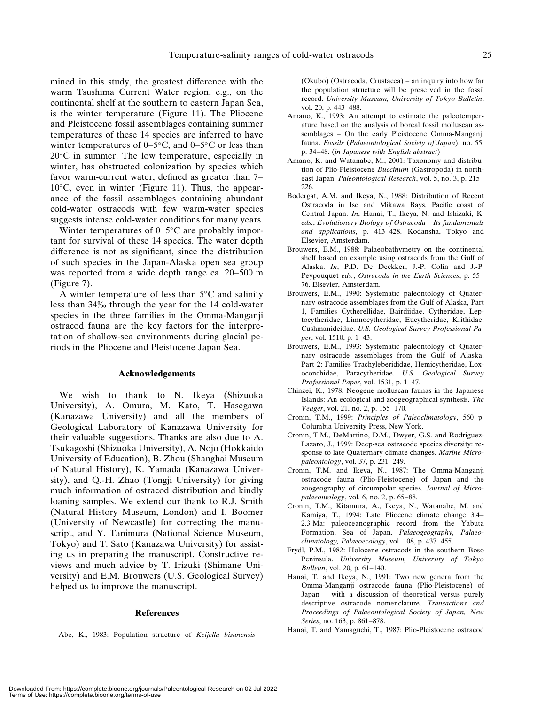mined in this study, the greatest difference with the warm Tsushima Current Water region, e.g., on the continental shelf at the southern to eastern Japan Sea, is the winter temperature (Figure 11). The Pliocene and Pleistocene fossil assemblages containing summer temperatures of these 14 species are inferred to have winter temperatures of  $0-5^{\circ}$ C, and  $0-5^{\circ}$ C or less than  $20^{\circ}$ C in summer. The low temperature, especially in winter, has obstructed colonization by species which favor warm-current water, defined as greater than 7–  $10^{\circ}$ C, even in winter (Figure 11). Thus, the appearance of the fossil assemblages containing abundant cold-water ostracods with few warm-water species suggests intense cold-water conditions for many years.

Winter temperatures of  $0-5^{\circ}$ C are probably important for survival of these 14 species. The water depth difference is not as significant, since the distribution of such species in the Japan-Alaska open sea group was reported from a wide depth range ca. 20–500 m (Figure 7).

A winter temperature of less than  $5^{\circ}$ C and salinity less than 34% through the year for the 14 cold-water species in the three families in the Omma-Manganji ostracod fauna are the key factors for the interpretation of shallow-sea environments during glacial periods in the Pliocene and Pleistocene Japan Sea.

#### Acknowledgements

We wish to thank to N. Ikeya (Shizuoka University), A. Omura, M. Kato, T. Hasegawa (Kanazawa University) and all the members of Geological Laboratory of Kanazawa University for their valuable suggestions. Thanks are also due to A. Tsukagoshi (Shizuoka University), A. Nojo (Hokkaido University of Education), B. Zhou (Shanghai Museum of Natural History), K. Yamada (Kanazawa University), and Q.-H. Zhao (Tongji University) for giving much information of ostracod distribution and kindly loaning samples. We extend our thank to R.J. Smith (Natural History Museum, London) and I. Boomer (University of Newcastle) for correcting the manuscript, and Y. Tanimura (National Science Museum, Tokyo) and T. Sato (Kanazawa University) for assisting us in preparing the manuscript. Constructive reviews and much advice by T. Irizuki (Shimane University) and E.M. Brouwers (U.S. Geological Survey) helped us to improve the manuscript.

#### References

Abe, K., 1983: Population structure of Keijella bisanensis

(Okubo) (Ostracoda, Crustacea) – an inquiry into how far the population structure will be preserved in the fossil record. University Museum, University of Tokyo Bulletin, vol. 20, p. 443–488.

- Amano, K., 1993: An attempt to estimate the paleotemperature based on the analysis of boreal fossil molluscan assemblages – On the early Pleistocene Omma-Manganji fauna. Fossils (Palaeontological Society of Japan), no. 55, p. 34–48. (in Japanese with English abstract)
- Amano, K. and Watanabe, M., 2001: Taxonomy and distribution of Plio-Pleistocene Buccinum (Gastropoda) in northeast Japan. Paleontological Research, vol. 5, no. 3, p. 215– 226.
- Bodergat, A.M. and Ikeya, N., 1988: Distribution of Recent Ostracoda in Ise and Mikawa Bays, Pacific coast of Central Japan. In, Hanai, T., Ikeya, N. and Ishizaki, K. eds., Evolutionary Biology of Ostracoda – Its fundamentals and applications, p. 413–428. Kodansha, Tokyo and Elsevier, Amsterdam.
- Brouwers, E.M., 1988: Palaeobathymetry on the continental shelf based on example using ostracods from the Gulf of Alaska. In, P.D. De Deckker, J.-P. Colin and J.-P. Peypouquet eds., Ostracoda in the Earth Sciences, p. 55– 76. Elsevier, Amsterdam.
- Brouwers, E.M., 1990: Systematic paleontology of Quaternary ostracode assemblages from the Gulf of Alaska, Part 1, Families Cytherellidae, Bairdiidae, Cytheridae, Leptocytheridae, Limnocytheridae, Eucytheridae, Krithidae, Cushmanideidae. U.S. Geological Survey Professional Paper, vol. 1510, p. 1–43.
- Brouwers, E.M., 1993: Systematic paleontology of Quaternary ostracode assemblages from the Gulf of Alaska, Part 2: Families Trachyleberididae, Hemicytheridae, Loxoconchidae, Paracytheridae. U.S. Geological Survey Professional Paper, vol. 1531, p. 1–47.
- Chinzei, K., 1978: Neogene molluscan faunas in the Japanese Islands: An ecological and zoogeographical synthesis. The Veliger, vol. 21, no. 2, p. 155–170.
- Cronin, T.M., 1999: Principles of Paleoclimatology, 560 p. Columbia University Press, New York.
- Cronin, T.M., DeMartino, D.M., Dwyer, G.S. and Rodriguez-Lazaro, J., 1999: Deep-sea ostracode species diversity: response to late Quaternary climate changes. Marine Micropaleontology, vol. 37, p. 231–249.
- Cronin, T.M. and Ikeya, N., 1987: The Omma-Manganji ostracode fauna (Plio-Pleistocene) of Japan and the zoogeography of circumpolar species. Journal of Micropalaeontology, vol. 6, no. 2, p. 65–88.
- Cronin, T.M., Kitamura, A., Ikeya, N., Watanabe, M. and Kamiya, T., 1994: Late Pliocene climate change 3.4– 2.3 Ma: paleoceanographic record from the Yabuta Formation, Sea of Japan. Palaeogeography, Palaeoclimatology, Palaeoecology, vol. 108, p. 437–455.
- Frydl, P.M., 1982: Holocene ostracods in the southern Boso Peninsula. University Museum, University of Tokyo Bulletin, vol. 20, p. 61–140.
- Hanai, T. and Ikeya, N., 1991: Two new genera from the Omma-Manganji ostracode fauna (Plio-Pleistocene) of Japan – with a discussion of theoretical versus purely descriptive ostracode nomenclature. Transactions and Proceedings of Palaeontological Society of Japan, New Series, no. 163, p. 861–878.
- Hanai, T. and Yamaguchi, T., 1987: Plio-Pleistocene ostracod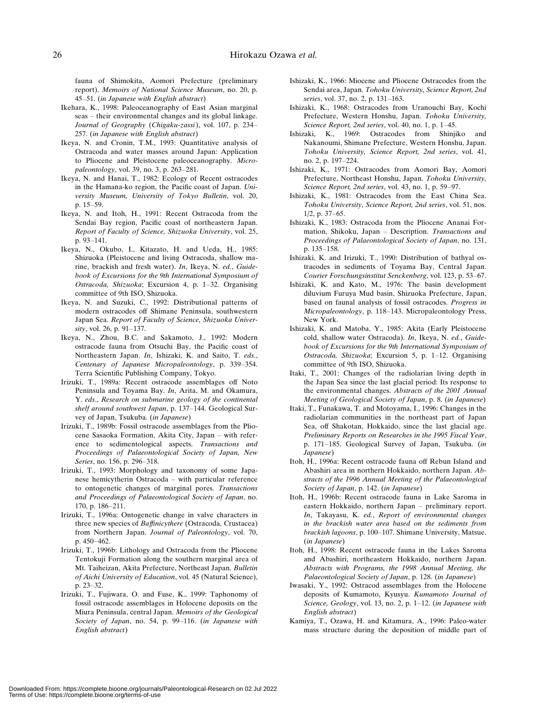fauna of Shimokita, Aomori Prefecture (preliminary report). Memoirs of National Science Museum, no. 20, p. 45–51. (in Japanese with English abstract)

- Ikehara, K., 1998: Paleoceanography of East Asian marginal seas – their environmental changes and its global linkage. Journal of Geography (Chigaku-zassi), vol. 107, p. 234– 257. (in Japanese with English abstract)
- Ikeya, N. and Cronin, T.M., 1993: Quantitative analysis of Ostracoda and water masses around Japan: Application to Pliocene and Pleistocene paleoceanography. Micropaleontology, vol. 39, no. 3, p. 263–281.
- Ikeya, N. and Hanai, T., 1982: Ecology of Recent ostracodes in the Hamana-ko region, the Pacific coast of Japan. University Museum, University of Tokyo Bulletin, vol. 20, p. 15–59.
- Ikeya, N. and Itoh, H., 1991: Recent Ostracoda from the Sendai Bay region, Pacific coast of northeastern Japan. Report of Faculty of Science, Shizuoka University, vol. 25, p. 93–141.
- Ikeya, N., Okubo, I., Kitazato, H. and Ueda, H., 1985: Shizuoka (Pleistocene and living Ostracoda, shallow marine, brackish and fresh water). In, Ikeya, N. ed., Guidebook of Excursions for the 9th International Symposium of Ostracoda, Shizuoka; Excursion 4, p. 1–32. Organising committee of 9th ISO, Shizuoka.
- Ikeya, N. and Suzuki, C., 1992: Distributional patterns of modern ostracodes off Shimane Peninsula, southwestern Japan Sea. Report of Faculty of Science, Shizuoka University, vol. 26, p. 91–137.
- Ikeya, N., Zhou, B.C. and Sakamoto, J., 1992: Modern ostracode fauna from Otsuchi Bay, the Pacific coast of Northeastern Japan. In, Ishizaki, K. and Saito, T. eds., Centenary of Japanese Micropaleontology, p. 339–354. Terra Scientific Publishing Company, Tokyo.
- Irizuki, T., 1989a: Recent ostracode assemblages off Noto Peninsula and Toyama Bay. In, Arita, M. and Okamura, Y. eds., Research on submarine geology of the continental shelf around southwest Japan, p. 137–144. Geological Survey of Japan, Tsukuba. (in Japanese)
- Irizuki, T., 1989b: Fossil ostracode assemblages from the Pliocene Sasaoka Formation, Akita City, Japan – with reference to sedimentological aspects. Transactions and Proceedings of Palaeontological Society of Japan, New Series, no. 156, p. 296–318.
- Irizuki, T., 1993: Morphology and taxonomy of some Japanese hemicytherin Ostracoda – with particular reference to ontogenetic changes of marginal pores. Transactions and Proceedings of Palaeontological Society of Japan, no. 170, p. 186–211.
- Irizuki, T., 1996a: Ontogenetic change in valve characters in three new species of Baffinicythere (Ostracoda, Crustacea) from Northern Japan. Journal of Paleontology, vol. 70, p. 450–462.
- Irizuki, T., 1996b: Lithology and Ostracoda from the Pliocene Tentokuji Formation along the southern marginal area of Mt. Taiheizan, Akita Prefecture, Northeast Japan. Bulletin of Aichi University of Education, vol. 45 (Natural Science), p. 23–32.
- Irizuki, T., Fujiwara, O. and Fuse, K., 1999: Taphonomy of fossil ostracode assemblages in Holocene deposits on the Miura Peninsula, central Japan. Memoirs of the Geological Society of Japan, no. 54, p. 99–116. (in Japanese with English abstract)
- Ishizaki, K., 1966: Miocene and Pliocene Ostracodes from the Sendai area, Japan. Tohoku University, Science Report, 2nd series, vol. 37, no. 2, p. 131–163.
- Ishizaki, K., 1968: Ostracodes from Uranouchi Bay, Kochi Prefecture, Western Honshu, Japan. Tohoku University, Science Report, 2nd series, vol. 40, no. 1, p. 1–45.
- Ishizaki, K., 1969: Ostracodes from Shinjiko and Nakanoumi, Shimane Prefecture, Western Honshu, Japan. Tohoku University, Science Report, 2nd series, vol. 41, no. 2, p. 197–224.
- Ishizaki, K., 1971: Ostracodes from Aomori Bay, Aomori Prefecture, Northeast Honshu, Japan. Tohoku University, Science Report, 2nd series, vol. 43, no. 1, p. 59–97.
- Ishizaki, K., 1981: Ostracodes from the East China Sea. Tohoku University, Science Report, 2nd series, vol. 51, nos. 1/2, p. 37–65.
- Ishizaki, K., 1983: Ostracoda from the Pliocene Ananai Formation, Shikoku, Japan – Description. Transactions and Proceedings of Palaeontological Society of Japan, no. 131, p. 135–158.
- Ishizaki, K. and Irizuki, T., 1990: Distribution of bathyal ostracodes in sediments of Toyama Bay, Central Japan. Courier Forschungsinstitut Senckenberg, vol. 123, p. 53–67.
- Ishizaki, K. and Kato, M., 1976: The basin development diluvium Furuya Mud basin, Shizuoka Prefecture, Japan, based on faunal analysis of fossil ostracodes. Progress in Micropaleontology, p. 118–143. Micropaleontology Press, New York.
- Ishizaki, K. and Matoba, Y., 1985: Akita (Early Pleistocene cold, shallow water Ostracoda). In, Ikeya, N. ed., Guidebook of Excursions for the 9th International Symposium of Ostracoda, Shizuoka; Excursion 5, p. 1–12. Organising committee of 9th ISO, Shizuoka.
- Itaki, T., 2001: Changes of the radiolarian living depth in the Japan Sea since the last glacial period: Its response to the environmental changes. Abstracts of the 2001 Annual Meeting of Geological Society of Japan, p. 8. (in Japanese)
- Itaki, T., Funakawa, T. and Motoyama, I., 1996: Changes in the radiolarian communities in the northeast part of Japan Sea, off Shakotan, Hokkaido, since the last glacial age. Preliminary Reports on Researches in the 1995 Fiscal Year, p. 171–185. Geological Survey of Japan, Tsukuba. (in Japanese)
- Itoh, H., 1996a: Recent ostracode fauna off Rebun Island and Abashiri area in northern Hokkaido, northern Japan. Abstracts of the 1996 Annual Meeting of the Palaeontological Society of Japan, p. 142. (in Japanese)
- Itoh, H., 1996b: Recent ostracode fauna in Lake Saroma in eastern Hokkaido, northern Japan – preliminary report. In, Takayasu, K. ed., Report of environmental changes in the brackish water area based on the sediments from brackish lagoons, p. 100–107. Shimane University, Matsue. (in Japanese)
- Itoh, H., 1998: Recent ostracode fauna in the Lakes Saroma and Abashiri, northeastern Hokkaido, northern Japan. Abstracts with Programs, the 1998 Annual Meeting, the Palaeontological Society of Japan, p. 128. (in Japanese)
- Iwasaki, Y., 1992: Ostracod assemblages from the Holocene deposits of Kumamoto, Kyusyu. Kumamoto Journal of Science, Geology, vol. 13, no. 2, p. 1–12. (in Japanese with English abstract)
- Kamiya, T., Ozawa, H. and Kitamura, A., 1996: Paleo-water mass structure during the deposition of middle part of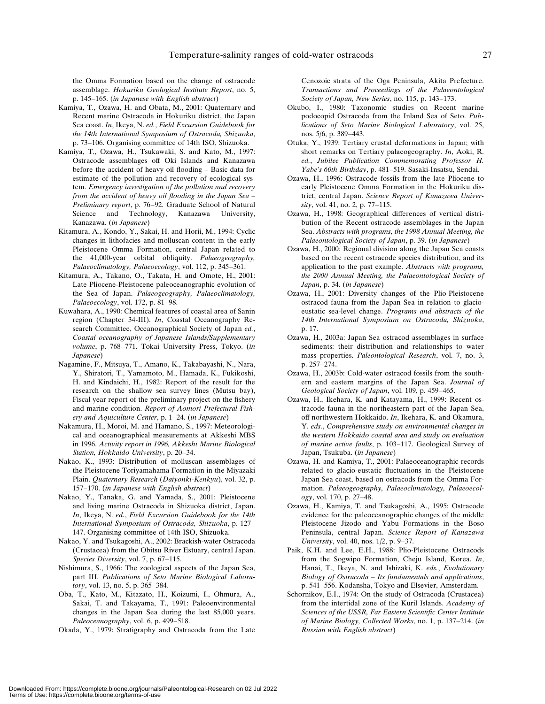the Omma Formation based on the change of ostracode assemblage. Hokuriku Geological Institute Report, no. 5, p. 145–165. (in Japanese with English abstract)

- Kamiya, T., Ozawa, H. and Obata, M., 2001: Quaternary and Recent marine Ostracoda in Hokuriku district, the Japan Sea coast. In, Ikeya, N. ed., Field Excursion Guidebook for the 14th International Symposium of Ostracoda, Shizuoka, p. 73–106. Organising committee of 14th ISO, Shizuoka.
- Kamiya, T., Ozawa, H., Tsukawaki, S. and Kato, M., 1997: Ostracode assemblages off Oki Islands and Kanazawa before the accident of heavy oil flooding – Basic data for estimate of the pollution and recovery of ecological system. Emergency investigation of the pollution and recovery from the accident of heavy oil flooding in the Japan Sea – Preliminary report, p. 76–92. Graduate School of Natural Science and Technology, Kanazawa University, Kanazawa. (in Japanese)
- Kitamura, A., Kondo, Y., Sakai, H. and Horii, M., 1994: Cyclic changes in lithofacies and molluscan content in the early Pleistocene Omma Formation, central Japan related to the 41,000-year orbital obliquity. Palaeogeography, Palaeoclimatology, Palaeoecology, vol. 112, p. 345–361.
- Kitamura, A., Takano, O., Takata, H. and Omote, H., 2001: Late Pliocene-Pleistocene paleoceanographic evolution of the Sea of Japan. Palaeogeography, Palaeoclimatology, Palaeoecology, vol. 172, p. 81–98.
- Kuwahara, A., 1990: Chemical features of coastal area of Sanin region (Chapter 34-III). In, Coastal Oceanography Research Committee, Oceanographical Society of Japan ed., Coastal oceanography of Japanese Islands/Supplementary volume, p. 768–771. Tokai University Press, Tokyo. (in Japanese)
- Nagamine, F., Mitsuya, T., Amano, K., Takabayashi, N., Nara, Y., Shiratori, T., Yamamoto, M., Hamada, K., Fukikoshi, H. and Kindaichi, H., 1982: Report of the result for the research on the shallow sea survey lines (Mutsu bay), Fiscal year report of the preliminary project on the fishery and marine condition. Report of Aomori Prefectural Fishery and Aquiculture Center, p. 1–24. (in Japanese)
- Nakamura, H., Moroi, M. and Hamano, S., 1997: Meteorological and oceanographical measurements at Akkeshi MBS in 1996. Activity report in 1996, Akkeshi Marine Biological Station, Hokkaido University, p. 20–34.
- Nakao, K., 1993: Distribution of molluscan assemblages of the Pleistocene Toriyamahama Formation in the Miyazaki Plain. Quaternary Research (Daiyonki-Kenkyu), vol. 32, p. 157–170. (in Japanese with English abstract)
- Nakao, Y., Tanaka, G. and Yamada, S., 2001: Pleistocene and living marine Ostracoda in Shizuoka district, Japan. In, Ikeya, N. ed., Field Excursion Guidebook for the 14th International Symposium of Ostracoda, Shizuoka, p. 127– 147. Organising committee of 14th ISO, Shizuoka.
- Nakao, Y. and Tsukagoshi, A., 2002: Brackish-water Ostracoda (Crustacea) from the Obitsu River Estuary, central Japan. Species Diversity, vol. 7, p. 67-115.
- Nishimura, S., 1966: The zoological aspects of the Japan Sea, part III. Publications of Seto Marine Biological Laboratory, vol. 13, no. 5, p. 365–384.
- Oba, T., Kato, M., Kitazato, H., Koizumi, I., Ohmura, A., Sakai, T. and Takayama, T., 1991: Paleoenvironmental changes in the Japan Sea during the last 85,000 years. Paleoceanography, vol. 6, p. 499–518.
- Okada, Y., 1979: Stratigraphy and Ostracoda from the Late

Cenozoic strata of the Oga Peninsula, Akita Prefecture. Transactions and Proceedings of the Palaeontological Society of Japan, New Series, no. 115, p. 143–173.

- Okubo, I., 1980: Taxonomic studies on Recent marine podocopid Ostracoda from the Inland Sea of Seto. Publications of Seto Marine Biological Laboratory, vol. 25, nos. 5/6, p. 389–443.
- Otuka, Y., 1939: Tertiary crustal deformations in Japan; with short remarks on Tertiary palaeogeography. In, Aoki, R. ed., Jubilee Publication Commemorating Professor H. Yabe's 60th Birthday, p. 481–519. Sasaki-Insatsu, Sendai.
- Ozawa, H., 1996: Ostracode fossils from the late Pliocene to early Pleistocene Omma Formation in the Hokuriku district, central Japan. Science Report of Kanazawa University, vol. 41, no. 2, p. 77–115.
- Ozawa, H., 1998: Geographical differences of vertical distribution of the Recent ostracode assemblages in the Japan Sea. Abstracts with programs, the 1998 Annual Meeting, the Palaeontological Society of Japan, p. 39. (in Japanese)
- Ozawa, H., 2000: Regional division along the Japan Sea coasts based on the recent ostracode species distribution, and its application to the past example. Abstracts with programs, the 2000 Annual Meeting, the Palaeontological Society of Japan, p. 34. (in Japanese)
- Ozawa, H., 2001: Diversity changes of the Plio-Pleistocene ostracod fauna from the Japan Sea in relation to glacioeustatic sea-level change. Programs and abstracts of the 14th International Symposium on Ostracoda, Shizuoka, p. 17.
- Ozawa, H., 2003a: Japan Sea ostracod assemblages in surface sediments: their distribution and relationships to water mass properties. Paleontological Research, vol. 7, no. 3, p. 257–274.
- Ozawa, H., 2003b: Cold-water ostracod fossils from the southern and eastern margins of the Japan Sea. Journal of Geological Society of Japan, vol. 109, p. 459–465.
- Ozawa, H., Ikehara, K. and Katayama, H., 1999: Recent ostracode fauna in the northeastern part of the Japan Sea, off northwestern Hokkaido. In, Ikehara, K. and Okamura, Y. eds., Comprehensive study on environmental changes in the western Hokkaido coastal area and study on evaluation of marine active faults, p. 103–117. Geological Survey of Japan, Tsukuba. (in Japanese)
- Ozawa, H. and Kamiya, T., 2001: Palaeoceanographic records related to glacio-eustatic fluctuations in the Pleistocene Japan Sea coast, based on ostracods from the Omma Formation. Palaeogeography, Palaeoclimatology, Palaeoecology, vol. 170, p. 27–48.
- Ozawa, H., Kamiya, T. and Tsukagoshi, A., 1995: Ostracode evidence for the paleoceanographic changes of the middle Pleistocene Jizodo and Yabu Formations in the Boso Peninsula, central Japan. Science Report of Kanazawa University, vol. 40, nos. 1/2, p. 9–37.
- Paik, K.H. and Lee, E.H., 1988: Plio-Pleistocene Ostracods from the Sogwipo Formation, Cheju Island, Korea. In, Hanai, T., Ikeya, N. and Ishizaki, K. eds., Evolutionary Biology of Ostracoda – Its fundamentals and applications, p. 541–556. Kodansha, Tokyo and Elsevier, Amsterdam.
- Schornikov, E.I., 1974: On the study of Ostracoda (Crustacea) from the intertidal zone of the Kuril Islands. Academy of Sciences of the USSR, Far Eastern Scientific Center Institute of Marine Biology, Collected Works, no. 1, p. 137–214. (in Russian with English abstract)